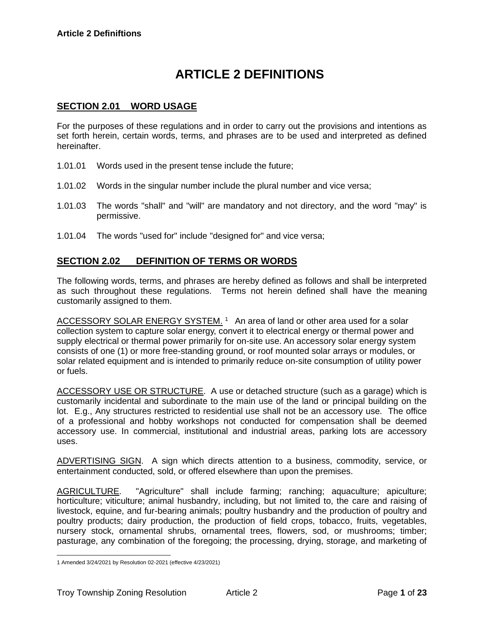# **ARTICLE 2 DEFINITIONS**

## **SECTION 2.01 WORD USAGE**

For the purposes of these regulations and in order to carry out the provisions and intentions as set forth herein, certain words, terms, and phrases are to be used and interpreted as defined hereinafter.

- 1.01.01 Words used in the present tense include the future;
- 1.01.02 Words in the singular number include the plural number and vice versa;
- 1.01.03 The words "shall" and "will" are mandatory and not directory, and the word "may" is permissive.
- 1.01.04 The words "used for" include "designed for" and vice versa;

## **SECTION 2.02 DEFINITION OF TERMS OR WORDS**

The following words, terms, and phrases are hereby defined as follows and shall be interpreted as such throughout these regulations. Terms not herein defined shall have the meaning customarily assigned to them.

ACCESSORY SOLAR ENERGY SYSTEM.<sup>1</sup> An area of land or other area used for a solar collection system to capture solar energy, convert it to electrical energy or thermal power and supply electrical or thermal power primarily for on-site use. An accessory solar energy system consists of one (1) or more free-standing ground, or roof mounted solar arrays or modules, or solar related equipment and is intended to primarily reduce on-site consumption of utility power or fuels.

ACCESSORY USE OR STRUCTURE. A use or detached structure (such as a garage) which is customarily incidental and subordinate to the main use of the land or principal building on the lot. E.g., Any structures restricted to residential use shall not be an accessory use. The office of a professional and hobby workshops not conducted for compensation shall be deemed accessory use. In commercial, institutional and industrial areas, parking lots are accessory uses.

ADVERTISING SIGN. A sign which directs attention to a business, commodity, service, or entertainment conducted, sold, or offered elsewhere than upon the premises.

AGRICULTURE. "Agriculture" shall include farming; ranching; aquaculture; apiculture; horticulture; viticulture; animal husbandry, including, but not limited to, the care and raising of livestock, equine, and fur-bearing animals; poultry husbandry and the production of poultry and poultry products; dairy production, the production of field crops, tobacco, fruits, vegetables, nursery stock, ornamental shrubs, ornamental trees, flowers, sod, or mushrooms; timber; pasturage, any combination of the foregoing; the processing, drying, storage, and marketing of

<sup>1</sup> Amended 3/24/2021 by Resolution 02-2021 (effective 4/23/2021)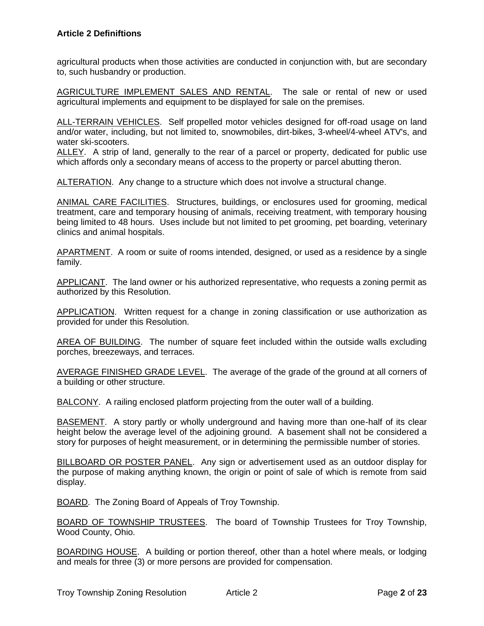agricultural products when those activities are conducted in conjunction with, but are secondary to, such husbandry or production.

AGRICULTURE IMPLEMENT SALES AND RENTAL. The sale or rental of new or used agricultural implements and equipment to be displayed for sale on the premises.

ALL-TERRAIN VEHICLES. Self propelled motor vehicles designed for off-road usage on land and/or water, including, but not limited to, snowmobiles, dirt-bikes, 3-wheel/4-wheel ATV's, and water ski-scooters.

ALLEY. A strip of land, generally to the rear of a parcel or property, dedicated for public use which affords only a secondary means of access to the property or parcel abutting theron.

ALTERATION. Any change to a structure which does not involve a structural change.

ANIMAL CARE FACILITIES. Structures, buildings, or enclosures used for grooming, medical treatment, care and temporary housing of animals, receiving treatment, with temporary housing being limited to 48 hours. Uses include but not limited to pet grooming, pet boarding, veterinary clinics and animal hospitals.

APARTMENT. A room or suite of rooms intended, designed, or used as a residence by a single family.

APPLICANT. The land owner or his authorized representative, who requests a zoning permit as authorized by this Resolution.

APPLICATION. Written request for a change in zoning classification or use authorization as provided for under this Resolution.

AREA OF BUILDING. The number of square feet included within the outside walls excluding porches, breezeways, and terraces.

AVERAGE FINISHED GRADE LEVEL. The average of the grade of the ground at all corners of a building or other structure.

BALCONY. A railing enclosed platform projecting from the outer wall of a building.

BASEMENT. A story partly or wholly underground and having more than one-half of its clear height below the average level of the adjoining ground. A basement shall not be considered a story for purposes of height measurement, or in determining the permissible number of stories.

BILLBOARD OR POSTER PANEL. Any sign or advertisement used as an outdoor display for the purpose of making anything known, the origin or point of sale of which is remote from said display.

BOARD. The Zoning Board of Appeals of Troy Township.

BOARD OF TOWNSHIP TRUSTEES. The board of Township Trustees for Troy Township, Wood County, Ohio.

BOARDING HOUSE. A building or portion thereof, other than a hotel where meals, or lodging and meals for three (3) or more persons are provided for compensation.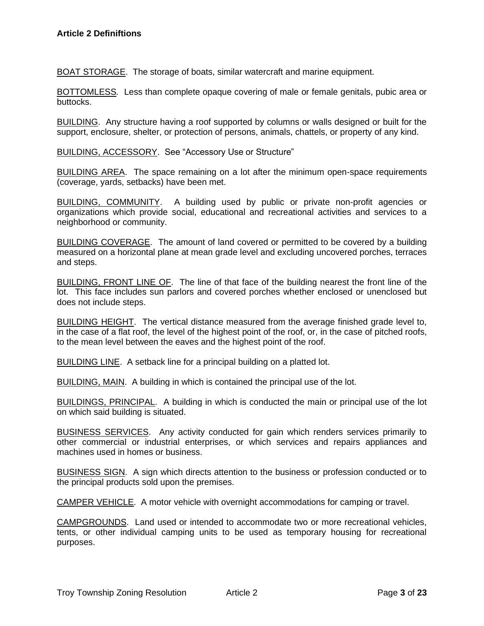BOAT STORAGE. The storage of boats, similar watercraft and marine equipment.

BOTTOMLESS*.* Less than complete opaque covering of male or female genitals, pubic area or buttocks.

BUILDING. Any structure having a roof supported by columns or walls designed or built for the support, enclosure, shelter, or protection of persons, animals, chattels, or property of any kind.

BUILDING, ACCESSORY. See "Accessory Use or Structure"

BUILDING AREA. The space remaining on a lot after the minimum open-space requirements (coverage, yards, setbacks) have been met.

BUILDING, COMMUNITY. A building used by public or private non-profit agencies or organizations which provide social, educational and recreational activities and services to a neighborhood or community.

BUILDING COVERAGE. The amount of land covered or permitted to be covered by a building measured on a horizontal plane at mean grade level and excluding uncovered porches, terraces and steps.

BUILDING, FRONT LINE OF. The line of that face of the building nearest the front line of the lot. This face includes sun parlors and covered porches whether enclosed or unenclosed but does not include steps.

BUILDING HEIGHT. The vertical distance measured from the average finished grade level to, in the case of a flat roof, the level of the highest point of the roof, or, in the case of pitched roofs, to the mean level between the eaves and the highest point of the roof.

BUILDING LINE. A setback line for a principal building on a platted lot.

BUILDING, MAIN. A building in which is contained the principal use of the lot.

BUILDINGS, PRINCIPAL. A building in which is conducted the main or principal use of the lot on which said building is situated.

BUSINESS SERVICES. Any activity conducted for gain which renders services primarily to other commercial or industrial enterprises, or which services and repairs appliances and machines used in homes or business.

BUSINESS SIGN. A sign which directs attention to the business or profession conducted or to the principal products sold upon the premises.

CAMPER VEHICLE. A motor vehicle with overnight accommodations for camping or travel.

CAMPGROUNDS. Land used or intended to accommodate two or more recreational vehicles, tents, or other individual camping units to be used as temporary housing for recreational purposes.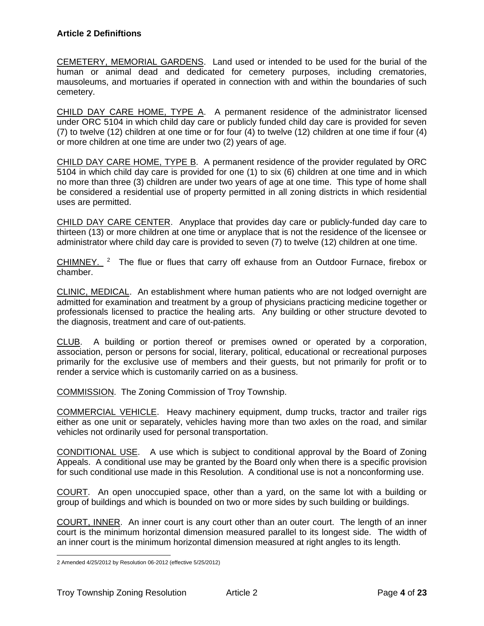CEMETERY, MEMORIAL GARDENS. Land used or intended to be used for the burial of the human or animal dead and dedicated for cemetery purposes, including crematories, mausoleums, and mortuaries if operated in connection with and within the boundaries of such cemetery.

CHILD DAY CARE HOME, TYPE A. A permanent residence of the administrator licensed under ORC 5104 in which child day care or publicly funded child day care is provided for seven (7) to twelve (12) children at one time or for four (4) to twelve (12) children at one time if four (4) or more children at one time are under two (2) years of age.

CHILD DAY CARE HOME, TYPE B. A permanent residence of the provider regulated by ORC 5104 in which child day care is provided for one (1) to six (6) children at one time and in which no more than three (3) children are under two years of age at one time. This type of home shall be considered a residential use of property permitted in all zoning districts in which residential uses are permitted.

CHILD DAY CARE CENTER. Anyplace that provides day care or publicly-funded day care to thirteen (13) or more children at one time or anyplace that is not the residence of the licensee or administrator where child day care is provided to seven (7) to twelve (12) children at one time.

CHIMNEY.  $2$  The flue or flues that carry off exhause from an Outdoor Furnace, firebox or chamber.

CLINIC, MEDICAL. An establishment where human patients who are not lodged overnight are admitted for examination and treatment by a group of physicians practicing medicine together or professionals licensed to practice the healing arts. Any building or other structure devoted to the diagnosis, treatment and care of out-patients.

CLUB. A building or portion thereof or premises owned or operated by a corporation, association, person or persons for social, literary, political, educational or recreational purposes primarily for the exclusive use of members and their guests, but not primarily for profit or to render a service which is customarily carried on as a business.

COMMISSION. The Zoning Commission of Troy Township.

COMMERCIAL VEHICLE. Heavy machinery equipment, dump trucks, tractor and trailer rigs either as one unit or separately, vehicles having more than two axles on the road, and similar vehicles not ordinarily used for personal transportation.

CONDITIONAL USE. A use which is subject to conditional approval by the Board of Zoning Appeals. A conditional use may be granted by the Board only when there is a specific provision for such conditional use made in this Resolution. A conditional use is not a nonconforming use.

COURT. An open unoccupied space, other than a yard, on the same lot with a building or group of buildings and which is bounded on two or more sides by such building or buildings.

COURT, INNER. An inner court is any court other than an outer court. The length of an inner court is the minimum horizontal dimension measured parallel to its longest side. The width of an inner court is the minimum horizontal dimension measured at right angles to its length.

<sup>2</sup> Amended 4/25/2012 by Resolution 06-2012 (effective 5/25/2012)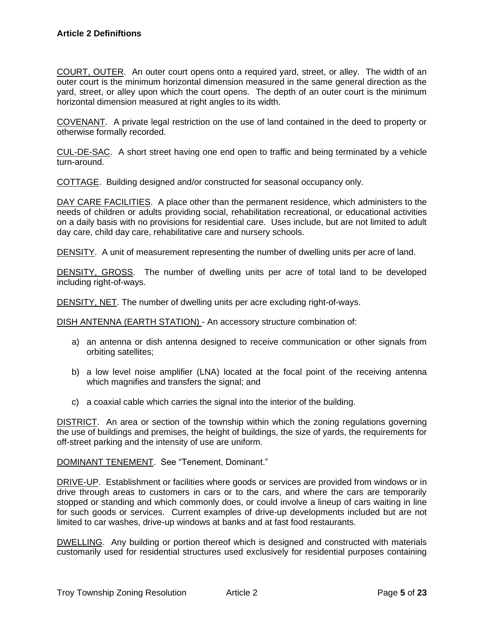COURT, OUTER. An outer court opens onto a required yard, street, or alley. The width of an outer court is the minimum horizontal dimension measured in the same general direction as the yard, street, or alley upon which the court opens. The depth of an outer court is the minimum horizontal dimension measured at right angles to its width.

COVENANT. A private legal restriction on the use of land contained in the deed to property or otherwise formally recorded.

CUL-DE-SAC. A short street having one end open to traffic and being terminated by a vehicle turn-around.

COTTAGE. Building designed and/or constructed for seasonal occupancy only.

DAY CARE FACILITIES. A place other than the permanent residence, which administers to the needs of children or adults providing social, rehabilitation recreational, or educational activities on a daily basis with no provisions for residential care. Uses include, but are not limited to adult day care, child day care, rehabilitative care and nursery schools.

DENSITY. A unit of measurement representing the number of dwelling units per acre of land.

DENSITY, GROSS. The number of dwelling units per acre of total land to be developed including right-of-ways.

DENSITY, NET. The number of dwelling units per acre excluding right-of-ways.

DISH ANTENNA (EARTH STATION) - An accessory structure combination of:

- a) an antenna or dish antenna designed to receive communication or other signals from orbiting satellites;
- b) a low level noise amplifier (LNA) located at the focal point of the receiving antenna which magnifies and transfers the signal; and
- c) a coaxial cable which carries the signal into the interior of the building.

DISTRICT. An area or section of the township within which the zoning regulations governing the use of buildings and premises, the height of buildings, the size of yards, the requirements for off-street parking and the intensity of use are uniform.

DOMINANT TENEMENT. See "Tenement, Dominant."

DRIVE-UP. Establishment or facilities where goods or services are provided from windows or in drive through areas to customers in cars or to the cars, and where the cars are temporarily stopped or standing and which commonly does, or could involve a lineup of cars waiting in line for such goods or services. Current examples of drive-up developments included but are not limited to car washes, drive-up windows at banks and at fast food restaurants.

DWELLING. Any building or portion thereof which is designed and constructed with materials customarily used for residential structures used exclusively for residential purposes containing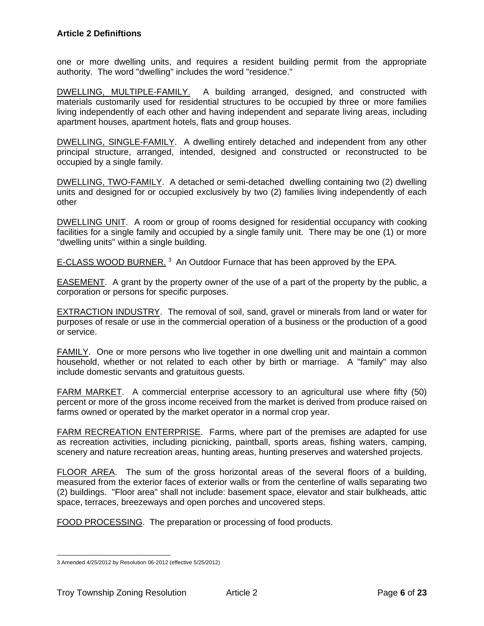one or more dwelling units, and requires a resident building permit from the appropriate authority. The word "dwelling" includes the word "residence."

DWELLING, MULTIPLE-FAMILY. A building arranged, designed, and constructed with materials customarily used for residential structures to be occupied by three or more families living independently of each other and having independent and separate living areas, including apartment houses, apartment hotels, flats and group houses.

DWELLING, SINGLE-FAMILY. A dwelling entirely detached and independent from any other principal structure, arranged, intended, designed and constructed or reconstructed to be occupied by a single family.

DWELLING, TWO-FAMILY. A detached or semi-detached dwelling containing two (2) dwelling units and designed for or occupied exclusively by two (2) families living independently of each other

DWELLING UNIT. A room or group of rooms designed for residential occupancy with cooking facilities for a single family and occupied by a single family unit. There may be one (1) or more "dwelling units" within a single building.

E-CLASS WOOD BURNER.<sup>3</sup> An Outdoor Furnace that has been approved by the EPA.

EASEMENT. A grant by the property owner of the use of a part of the property by the public, a corporation or persons for specific purposes.

EXTRACTION INDUSTRY. The removal of soil, sand, gravel or minerals from land or water for purposes of resale or use in the commercial operation of a business or the production of a good or service.

FAMILY. One or more persons who live together in one dwelling unit and maintain a common household, whether or not related to each other by birth or marriage. A "family" may also include domestic servants and gratuitous guests.

FARM MARKET. A commercial enterprise accessory to an agricultural use where fifty (50) percent or more of the gross income received from the market is derived from produce raised on farms owned or operated by the market operator in a normal crop year.

FARM RECREATION ENTERPRISE. Farms, where part of the premises are adapted for use as recreation activities, including picnicking, paintball, sports areas, fishing waters, camping, scenery and nature recreation areas, hunting areas, hunting preserves and watershed projects.

FLOOR AREA. The sum of the gross horizontal areas of the several floors of a building, measured from the exterior faces of exterior walls or from the centerline of walls separating two (2) buildings. "Floor area" shall not include: basement space, elevator and stair bulkheads, attic space, terraces, breezeways and open porches and uncovered steps.

FOOD PROCESSING. The preparation or processing of food products.

<sup>3</sup> Amended 4/25/2012 by Resolution 06-2012 (effective 5/25/2012)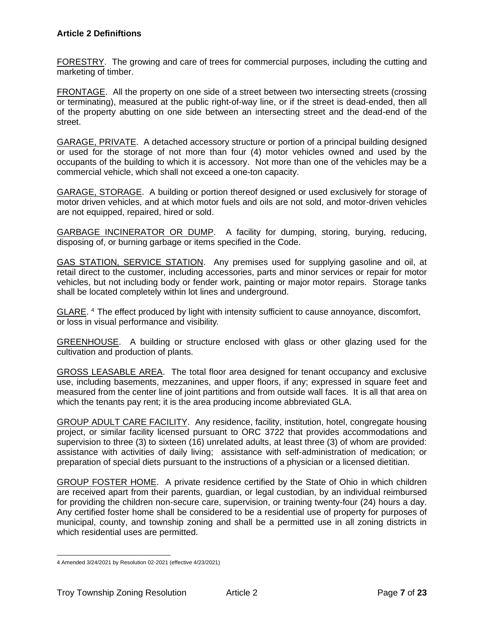FORESTRY. The growing and care of trees for commercial purposes, including the cutting and marketing of timber.

FRONTAGE. All the property on one side of a street between two intersecting streets (crossing or terminating), measured at the public right-of-way line, or if the street is dead-ended, then all of the property abutting on one side between an intersecting street and the dead-end of the street.

GARAGE, PRIVATE. A detached accessory structure or portion of a principal building designed or used for the storage of not more than four (4) motor vehicles owned and used by the occupants of the building to which it is accessory. Not more than one of the vehicles may be a commercial vehicle, which shall not exceed a one-ton capacity.

GARAGE, STORAGE. A building or portion thereof designed or used exclusively for storage of motor driven vehicles, and at which motor fuels and oils are not sold, and motor-driven vehicles are not equipped, repaired, hired or sold.

GARBAGE INCINERATOR OR DUMP. A facility for dumping, storing, burying, reducing, disposing of, or burning garbage or items specified in the Code.

GAS STATION, SERVICE STATION. Any premises used for supplying gasoline and oil, at retail direct to the customer, including accessories, parts and minor services or repair for motor vehicles, but not including body or fender work, painting or major motor repairs. Storage tanks shall be located completely within lot lines and underground.

GLARE.<sup>4</sup> The effect produced by light with intensity sufficient to cause annoyance, discomfort, or loss in visual performance and visibility.

GREENHOUSE. A building or structure enclosed with glass or other glazing used for the cultivation and production of plants.

GROSS LEASABLE AREA. The total floor area designed for tenant occupancy and exclusive use, including basements, mezzanines, and upper floors, if any; expressed in square feet and measured from the center line of joint partitions and from outside wall faces. It is all that area on which the tenants pay rent; it is the area producing income abbreviated GLA.

GROUP ADULT CARE FACILITY. Any residence, facility, institution, hotel, congregate housing project, or similar facility licensed pursuant to ORC 3722 that provides accommodations and supervision to three (3) to sixteen (16) unrelated adults, at least three (3) of whom are provided: assistance with activities of daily living; assistance with self-administration of medication; or preparation of special diets pursuant to the instructions of a physician or a licensed dietitian.

GROUP FOSTER HOME. A private residence certified by the State of Ohio in which children are received apart from their parents, guardian, or legal custodian, by an individual reimbursed for providing the children non-secure care, supervision, or training twenty-four (24) hours a day. Any certified foster home shall be considered to be a residential use of property for purposes of municipal, county, and township zoning and shall be a permitted use in all zoning districts in which residential uses are permitted.

<sup>4</sup> Amended 3/24/2021 by Resolution 02-2021 (effective 4/23/2021)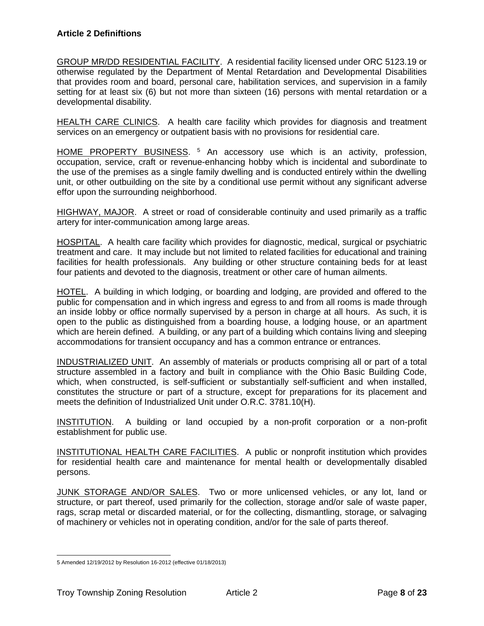GROUP MR/DD RESIDENTIAL FACILITY. A residential facility licensed under ORC 5123.19 or otherwise regulated by the Department of Mental Retardation and Developmental Disabilities that provides room and board, personal care, habilitation services, and supervision in a family setting for at least six (6) but not more than sixteen (16) persons with mental retardation or a developmental disability.

HEALTH CARE CLINICS. A health care facility which provides for diagnosis and treatment services on an emergency or outpatient basis with no provisions for residential care.

HOME PROPERTY BUSINESS. <sup>5</sup> An accessory use which is an activity, profession, occupation, service, craft or revenue-enhancing hobby which is incidental and subordinate to the use of the premises as a single family dwelling and is conducted entirely within the dwelling unit, or other outbuilding on the site by a conditional use permit without any significant adverse effor upon the surrounding neighborhood.

HIGHWAY, MAJOR. A street or road of considerable continuity and used primarily as a traffic artery for inter-communication among large areas.

HOSPITAL. A health care facility which provides for diagnostic, medical, surgical or psychiatric treatment and care. It may include but not limited to related facilities for educational and training facilities for health professionals. Any building or other structure containing beds for at least four patients and devoted to the diagnosis, treatment or other care of human ailments.

HOTEL. A building in which lodging, or boarding and lodging, are provided and offered to the public for compensation and in which ingress and egress to and from all rooms is made through an inside lobby or office normally supervised by a person in charge at all hours. As such, it is open to the public as distinguished from a boarding house, a lodging house, or an apartment which are herein defined. A building, or any part of a building which contains living and sleeping accommodations for transient occupancy and has a common entrance or entrances.

INDUSTRIALIZED UNIT. An assembly of materials or products comprising all or part of a total structure assembled in a factory and built in compliance with the Ohio Basic Building Code, which, when constructed, is self-sufficient or substantially self-sufficient and when installed, constitutes the structure or part of a structure, except for preparations for its placement and meets the definition of Industrialized Unit under O.R.C. 3781.10(H).

INSTITUTION. A building or land occupied by a non-profit corporation or a non-profit establishment for public use.

INSTITUTIONAL HEALTH CARE FACILITIES. A public or nonprofit institution which provides for residential health care and maintenance for mental health or developmentally disabled persons.

JUNK STORAGE AND/OR SALES. Two or more unlicensed vehicles, or any lot, land or structure, or part thereof, used primarily for the collection, storage and/or sale of waste paper, rags, scrap metal or discarded material, or for the collecting, dismantling, storage, or salvaging of machinery or vehicles not in operating condition, and/or for the sale of parts thereof.

<sup>5</sup> Amended 12/19/2012 by Resolution 16-2012 (effective 01/18/2013)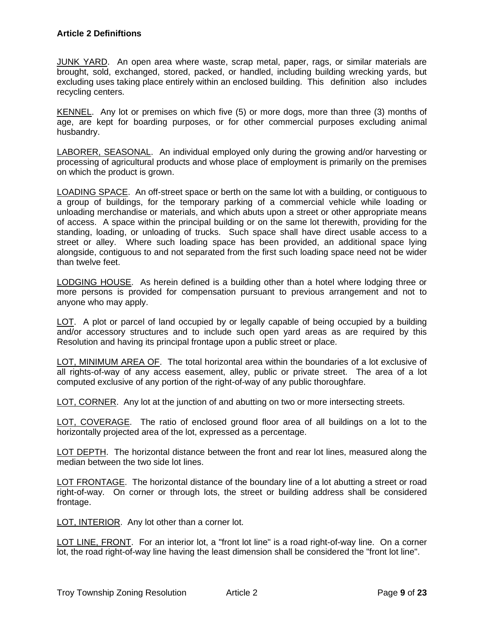JUNK YARD. An open area where waste, scrap metal, paper, rags, or similar materials are brought, sold, exchanged, stored, packed, or handled, including building wrecking yards, but excluding uses taking place entirely within an enclosed building. This definition also includes recycling centers.

KENNEL. Any lot or premises on which five (5) or more dogs, more than three (3) months of age, are kept for boarding purposes, or for other commercial purposes excluding animal husbandry.

LABORER, SEASONAL. An individual employed only during the growing and/or harvesting or processing of agricultural products and whose place of employment is primarily on the premises on which the product is grown.

LOADING SPACE. An off-street space or berth on the same lot with a building, or contiguous to a group of buildings, for the temporary parking of a commercial vehicle while loading or unloading merchandise or materials, and which abuts upon a street or other appropriate means of access. A space within the principal building or on the same lot therewith, providing for the standing, loading, or unloading of trucks. Such space shall have direct usable access to a street or alley. Where such loading space has been provided, an additional space lying alongside, contiguous to and not separated from the first such loading space need not be wider than twelve feet.

LODGING HOUSE. As herein defined is a building other than a hotel where lodging three or more persons is provided for compensation pursuant to previous arrangement and not to anyone who may apply.

LOT. A plot or parcel of land occupied by or legally capable of being occupied by a building and/or accessory structures and to include such open yard areas as are required by this Resolution and having its principal frontage upon a public street or place.

LOT, MINIMUM AREA OF. The total horizontal area within the boundaries of a lot exclusive of all rights-of-way of any access easement, alley, public or private street. The area of a lot computed exclusive of any portion of the right-of-way of any public thoroughfare.

LOT, CORNER. Any lot at the junction of and abutting on two or more intersecting streets.

LOT, COVERAGE. The ratio of enclosed ground floor area of all buildings on a lot to the horizontally projected area of the lot, expressed as a percentage.

LOT DEPTH. The horizontal distance between the front and rear lot lines, measured along the median between the two side lot lines.

LOT FRONTAGE. The horizontal distance of the boundary line of a lot abutting a street or road right-of-way. On corner or through lots, the street or building address shall be considered frontage.

LOT, INTERIOR. Any lot other than a corner lot.

LOT LINE, FRONT. For an interior lot, a "front lot line" is a road right-of-way line. On a corner lot, the road right-of-way line having the least dimension shall be considered the "front lot line".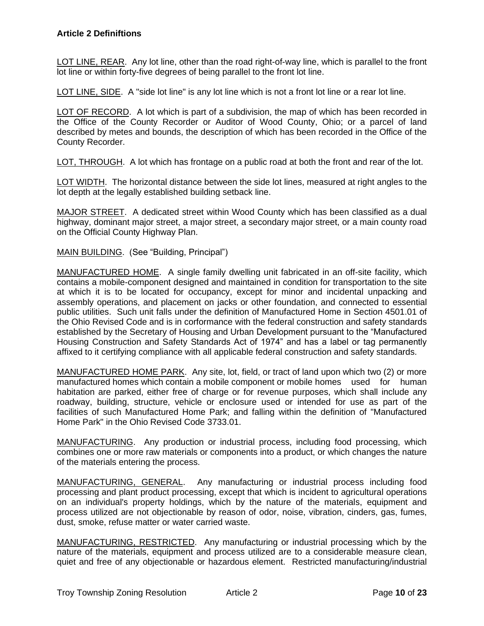LOT LINE, REAR. Any lot line, other than the road right-of-way line, which is parallel to the front lot line or within forty-five degrees of being parallel to the front lot line.

LOT LINE, SIDE. A "side lot line" is any lot line which is not a front lot line or a rear lot line.

LOT OF RECORD. A lot which is part of a subdivision, the map of which has been recorded in the Office of the County Recorder or Auditor of Wood County, Ohio; or a parcel of land described by metes and bounds, the description of which has been recorded in the Office of the County Recorder.

LOT, THROUGH. A lot which has frontage on a public road at both the front and rear of the lot.

LOT WIDTH. The horizontal distance between the side lot lines, measured at right angles to the lot depth at the legally established building setback line.

MAJOR STREET. A dedicated street within Wood County which has been classified as a dual highway, dominant major street, a major street, a secondary major street, or a main county road on the Official County Highway Plan.

MAIN BUILDING. (See "Building, Principal")

MANUFACTURED HOME. A single family dwelling unit fabricated in an off-site facility, which contains a mobile-component designed and maintained in condition for transportation to the site at which it is to be located for occupancy, except for minor and incidental unpacking and assembly operations, and placement on jacks or other foundation, and connected to essential public utilities. Such unit falls under the definition of Manufactured Home in Section 4501.01 of the Ohio Revised Code and is in corformance with the federal construction and safety standards established by the Secretary of Housing and Urban Development pursuant to the "Manufactured Housing Construction and Safety Standards Act of 1974" and has a label or tag permanently affixed to it certifying compliance with all applicable federal construction and safety standards.

MANUFACTURED HOME PARK. Any site, lot, field, or tract of land upon which two (2) or more manufactured homes which contain a mobile component or mobile homes used for human habitation are parked, either free of charge or for revenue purposes, which shall include any roadway, building, structure, vehicle or enclosure used or intended for use as part of the facilities of such Manufactured Home Park; and falling within the definition of "Manufactured Home Park" in the Ohio Revised Code 3733.01.

MANUFACTURING. Any production or industrial process, including food processing, which combines one or more raw materials or components into a product, or which changes the nature of the materials entering the process.

MANUFACTURING, GENERAL. Any manufacturing or industrial process including food processing and plant product processing, except that which is incident to agricultural operations on an individual's property holdings, which by the nature of the materials, equipment and process utilized are not objectionable by reason of odor, noise, vibration, cinders, gas, fumes, dust, smoke, refuse matter or water carried waste.

MANUFACTURING, RESTRICTED. Any manufacturing or industrial processing which by the nature of the materials, equipment and process utilized are to a considerable measure clean, quiet and free of any objectionable or hazardous element. Restricted manufacturing/industrial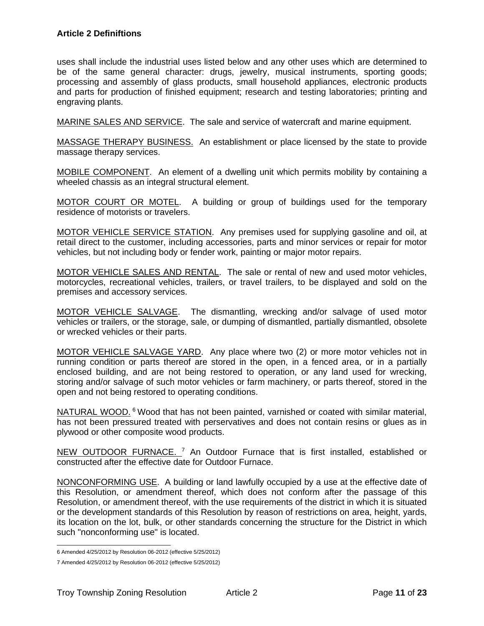uses shall include the industrial uses listed below and any other uses which are determined to be of the same general character: drugs, jewelry, musical instruments, sporting goods; processing and assembly of glass products, small household appliances, electronic products and parts for production of finished equipment; research and testing laboratories; printing and engraving plants.

MARINE SALES AND SERVICE. The sale and service of watercraft and marine equipment.

MASSAGE THERAPY BUSINESS. An establishment or place licensed by the state to provide massage therapy services.

MOBILE COMPONENT. An element of a dwelling unit which permits mobility by containing a wheeled chassis as an integral structural element.

MOTOR COURT OR MOTEL. A building or group of buildings used for the temporary residence of motorists or travelers.

MOTOR VEHICLE SERVICE STATION. Any premises used for supplying gasoline and oil, at retail direct to the customer, including accessories, parts and minor services or repair for motor vehicles, but not including body or fender work, painting or major motor repairs.

MOTOR VEHICLE SALES AND RENTAL. The sale or rental of new and used motor vehicles, motorcycles, recreational vehicles, trailers, or travel trailers, to be displayed and sold on the premises and accessory services.

MOTOR VEHICLE SALVAGE. The dismantling, wrecking and/or salvage of used motor vehicles or trailers, or the storage, sale, or dumping of dismantled, partially dismantled, obsolete or wrecked vehicles or their parts.

MOTOR VEHICLE SALVAGE YARD. Any place where two (2) or more motor vehicles not in running condition or parts thereof are stored in the open, in a fenced area, or in a partially enclosed building, and are not being restored to operation, or any land used for wrecking, storing and/or salvage of such motor vehicles or farm machinery, or parts thereof, stored in the open and not being restored to operating conditions.

NATURAL WOOD. <sup>6</sup> Wood that has not been painted, varnished or coated with similar material, has not been pressured treated with perservatives and does not contain resins or glues as in plywood or other composite wood products.

NEW OUTDOOR FURNACE. <sup>7</sup> An Outdoor Furnace that is first installed, established or constructed after the effective date for Outdoor Furnace.

NONCONFORMING USE. A building or land lawfully occupied by a use at the effective date of this Resolution, or amendment thereof, which does not conform after the passage of this Resolution, or amendment thereof, with the use requirements of the district in which it is situated or the development standards of this Resolution by reason of restrictions on area, height, yards, its location on the lot, bulk, or other standards concerning the structure for the District in which such "nonconforming use" is located.

<sup>6</sup> Amended 4/25/2012 by Resolution 06-2012 (effective 5/25/2012)

<sup>7</sup> Amended 4/25/2012 by Resolution 06-2012 (effective 5/25/2012)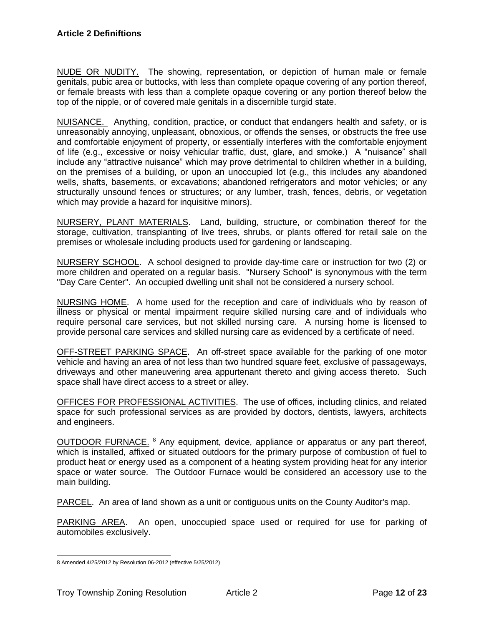NUDE OR NUDITY. The showing, representation, or depiction of human male or female genitals, pubic area or buttocks, with less than complete opaque covering of any portion thereof, or female breasts with less than a complete opaque covering or any portion thereof below the top of the nipple, or of covered male genitals in a discernible turgid state.

NUISANCE. Anything, condition, practice, or conduct that endangers health and safety, or is unreasonably annoying, unpleasant, obnoxious, or offends the senses, or obstructs the free use and comfortable enjoyment of property, or essentially interferes with the comfortable enjoyment of life (e.g., excessive or noisy vehicular traffic, dust, glare, and smoke.) A "nuisance" shall include any "attractive nuisance" which may prove detrimental to children whether in a building, on the premises of a building, or upon an unoccupied lot (e.g., this includes any abandoned wells, shafts, basements, or excavations; abandoned refrigerators and motor vehicles; or any structurally unsound fences or structures; or any lumber, trash, fences, debris, or vegetation which may provide a hazard for inquisitive minors).

NURSERY, PLANT MATERIALS. Land, building, structure, or combination thereof for the storage, cultivation, transplanting of live trees, shrubs, or plants offered for retail sale on the premises or wholesale including products used for gardening or landscaping.

NURSERY SCHOOL. A school designed to provide day-time care or instruction for two (2) or more children and operated on a regular basis. "Nursery School" is synonymous with the term "Day Care Center". An occupied dwelling unit shall not be considered a nursery school.

NURSING HOME. A home used for the reception and care of individuals who by reason of illness or physical or mental impairment require skilled nursing care and of individuals who require personal care services, but not skilled nursing care. A nursing home is licensed to provide personal care services and skilled nursing care as evidenced by a certificate of need.

OFF-STREET PARKING SPACE. An off-street space available for the parking of one motor vehicle and having an area of not less than two hundred square feet, exclusive of passageways, driveways and other maneuvering area appurtenant thereto and giving access thereto. Such space shall have direct access to a street or alley.

OFFICES FOR PROFESSIONAL ACTIVITIES. The use of offices, including clinics, and related space for such professional services as are provided by doctors, dentists, lawyers, architects and engineers.

OUTDOOR FURNACE. <sup>8</sup> Any equipment, device, appliance or apparatus or any part thereof, which is installed, affixed or situated outdoors for the primary purpose of combustion of fuel to product heat or energy used as a component of a heating system providing heat for any interior space or water source. The Outdoor Furnace would be considered an accessory use to the main building.

PARCEL. An area of land shown as a unit or contiguous units on the County Auditor's map.

PARKING AREA. An open, unoccupied space used or required for use for parking of automobiles exclusively.

<sup>8</sup> Amended 4/25/2012 by Resolution 06-2012 (effective 5/25/2012)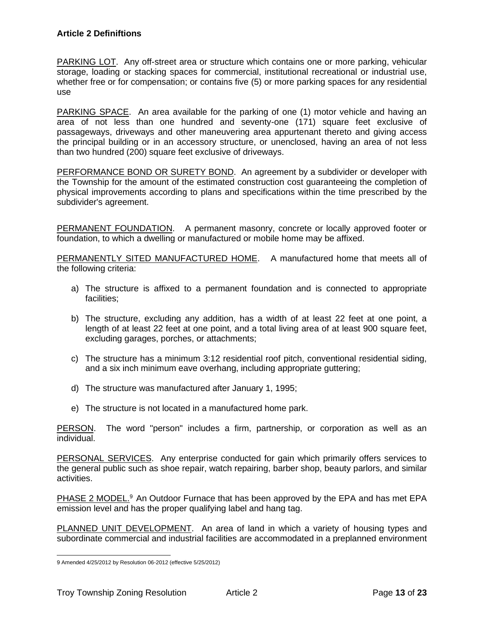PARKING LOT. Any off-street area or structure which contains one or more parking, vehicular storage, loading or stacking spaces for commercial, institutional recreational or industrial use, whether free or for compensation; or contains five (5) or more parking spaces for any residential use

PARKING SPACE. An area available for the parking of one (1) motor vehicle and having an area of not less than one hundred and seventy-one (171) square feet exclusive of passageways, driveways and other maneuvering area appurtenant thereto and giving access the principal building or in an accessory structure, or unenclosed, having an area of not less than two hundred (200) square feet exclusive of driveways.

PERFORMANCE BOND OR SURETY BOND. An agreement by a subdivider or developer with the Township for the amount of the estimated construction cost guaranteeing the completion of physical improvements according to plans and specifications within the time prescribed by the subdivider's agreement.

PERMANENT FOUNDATION. A permanent masonry, concrete or locally approved footer or foundation, to which a dwelling or manufactured or mobile home may be affixed.

PERMANENTLY SITED MANUFACTURED HOME. A manufactured home that meets all of the following criteria:

- a) The structure is affixed to a permanent foundation and is connected to appropriate facilities;
- b) The structure, excluding any addition, has a width of at least 22 feet at one point, a length of at least 22 feet at one point, and a total living area of at least 900 square feet, excluding garages, porches, or attachments;
- c) The structure has a minimum 3:12 residential roof pitch, conventional residential siding, and a six inch minimum eave overhang, including appropriate guttering;
- d) The structure was manufactured after January 1, 1995;
- e) The structure is not located in a manufactured home park.

PERSON. The word "person" includes a firm, partnership, or corporation as well as an individual.

PERSONAL SERVICES. Any enterprise conducted for gain which primarily offers services to the general public such as shoe repair, watch repairing, barber shop, beauty parlors, and similar activities.

PHASE 2 MODEL.<sup>9</sup> An Outdoor Furnace that has been approved by the EPA and has met EPA emission level and has the proper qualifying label and hang tag.

PLANNED UNIT DEVELOPMENT. An area of land in which a variety of housing types and subordinate commercial and industrial facilities are accommodated in a preplanned environment

<sup>9</sup> Amended 4/25/2012 by Resolution 06-2012 (effective 5/25/2012)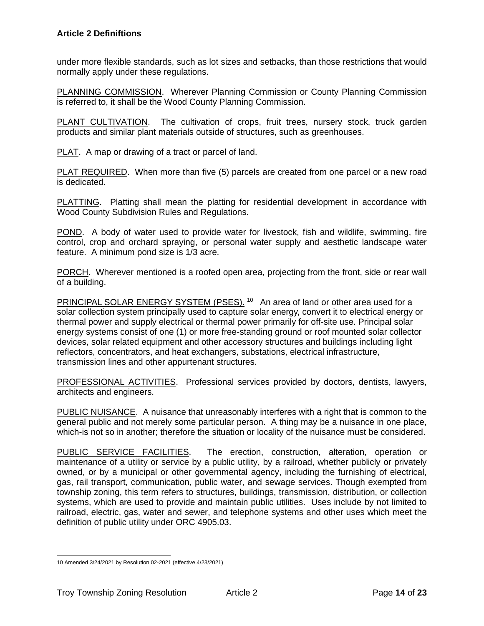under more flexible standards, such as lot sizes and setbacks, than those restrictions that would normally apply under these regulations.

PLANNING COMMISSION. Wherever Planning Commission or County Planning Commission is referred to, it shall be the Wood County Planning Commission.

PLANT CULTIVATION. The cultivation of crops, fruit trees, nursery stock, truck garden products and similar plant materials outside of structures, such as greenhouses.

PLAT. A map or drawing of a tract or parcel of land.

PLAT REQUIRED. When more than five (5) parcels are created from one parcel or a new road is dedicated.

PLATTING. Platting shall mean the platting for residential development in accordance with Wood County Subdivision Rules and Regulations.

POND. A body of water used to provide water for livestock, fish and wildlife, swimming, fire control, crop and orchard spraying, or personal water supply and aesthetic landscape water feature. A minimum pond size is 1/3 acre.

PORCH. Wherever mentioned is a roofed open area, projecting from the front, side or rear wall of a building.

PRINCIPAL SOLAR ENERGY SYSTEM (PSES).<sup>10</sup> An area of land or other area used for a solar collection system principally used to capture solar energy, convert it to electrical energy or thermal power and supply electrical or thermal power primarily for off-site use. Principal solar energy systems consist of one (1) or more free-standing ground or roof mounted solar collector devices, solar related equipment and other accessory structures and buildings including light reflectors, concentrators, and heat exchangers, substations, electrical infrastructure, transmission lines and other appurtenant structures.

PROFESSIONAL ACTIVITIES. Professional services provided by doctors, dentists, lawyers, architects and engineers.

PUBLIC NUISANCE. A nuisance that unreasonably interferes with a right that is common to the general public and not merely some particular person. A thing may be a nuisance in one place, which-is not so in another; therefore the situation or locality of the nuisance must be considered.

PUBLIC SERVICE FACILITIES. The erection, construction, alteration, operation or maintenance of a utility or service by a public utility, by a railroad, whether publicly or privately owned, or by a municipal or other governmental agency, including the furnishing of electrical, gas, rail transport, communication, public water, and sewage services. Though exempted from township zoning, this term refers to structures, buildings, transmission, distribution, or collection systems, which are used to provide and maintain public utilities. Uses include by not limited to railroad, electric, gas, water and sewer, and telephone systems and other uses which meet the definition of public utility under ORC 4905.03.

<sup>10</sup> Amended 3/24/2021 by Resolution 02-2021 (effective 4/23/2021)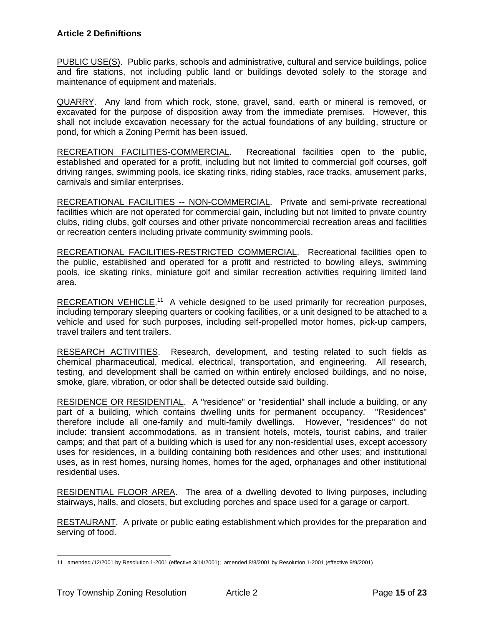PUBLIC USE(S). Public parks, schools and administrative, cultural and service buildings, police and fire stations, not including public land or buildings devoted solely to the storage and maintenance of equipment and materials.

QUARRY. Any land from which rock, stone, gravel, sand, earth or mineral is removed, or excavated for the purpose of disposition away from the immediate premises. However, this shall not include excavation necessary for the actual foundations of any building, structure or pond, for which a Zoning Permit has been issued.

RECREATION FACILITIES-COMMERCIAL. Recreational facilities open to the public, established and operated for a profit, including but not limited to commercial golf courses, golf driving ranges, swimming pools, ice skating rinks, riding stables, race tracks, amusement parks, carnivals and similar enterprises.

RECREATIONAL FACILITIES -- NON-COMMERCIAL. Private and semi-private recreational facilities which are not operated for commercial gain, including but not limited to private country clubs, riding clubs, golf courses and other private noncommercial recreation areas and facilities or recreation centers including private community swimming pools.

RECREATIONAL FACILITIES-RESTRICTED COMMERCIAL. Recreational facilities open to the public, established and operated for a profit and restricted to bowling alleys, swimming pools, ice skating rinks, miniature golf and similar recreation activities requiring limited land area.

RECREATION VEHICLE.<sup>11</sup> A vehicle designed to be used primarily for recreation purposes, including temporary sleeping quarters or cooking facilities, or a unit designed to be attached to a vehicle and used for such purposes, including self-propelled motor homes, pick-up campers, travel trailers and tent trailers.

RESEARCH ACTIVITIES. Research, development, and testing related to such fields as chemical pharmaceutical, medical, electrical, transportation, and engineering. All research, testing, and development shall be carried on within entirely enclosed buildings, and no noise, smoke, glare, vibration, or odor shall be detected outside said building.

RESIDENCE OR RESIDENTIAL. A "residence" or "residential" shall include a building, or any part of a building, which contains dwelling units for permanent occupancy. "Residences" therefore include all one-family and multi-family dwellings. However, "residences" do not include: transient accommodations, as in transient hotels, motels, tourist cabins, and trailer camps; and that part of a building which is used for any non-residential uses, except accessory uses for residences, in a building containing both residences and other uses; and institutional uses, as in rest homes, nursing homes, homes for the aged, orphanages and other institutional residential uses.

RESIDENTIAL FLOOR AREA. The area of a dwelling devoted to living purposes, including stairways, halls, and closets, but excluding porches and space used for a garage or carport.

RESTAURANT. A private or public eating establishment which provides for the preparation and serving of food.

<sup>11</sup> amended /12/2001 by Resolution 1-2001 (effective 3/14/2001); amended 8/8/2001 by Resolution 1-2001 (effective 9/9/2001)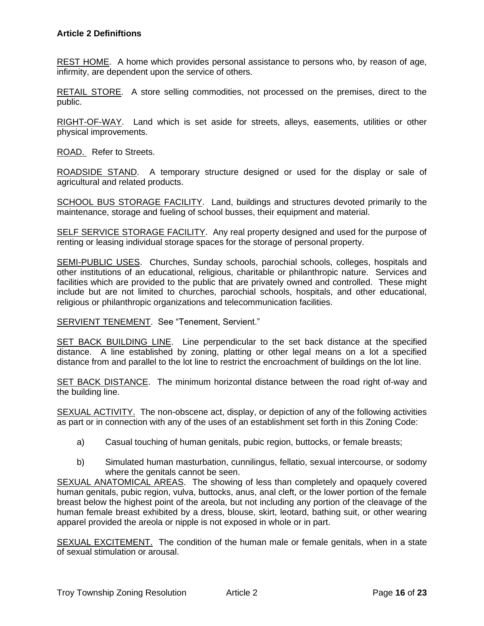REST HOME. A home which provides personal assistance to persons who, by reason of age, infirmity, are dependent upon the service of others.

RETAIL STORE. A store selling commodities, not processed on the premises, direct to the public.

RIGHT-OF-WAY. Land which is set aside for streets, alleys, easements, utilities or other physical improvements.

ROAD. Refer to Streets.

ROADSIDE STAND. A temporary structure designed or used for the display or sale of agricultural and related products.

SCHOOL BUS STORAGE FACILITY. Land, buildings and structures devoted primarily to the maintenance, storage and fueling of school busses, their equipment and material.

SELF SERVICE STORAGE FACILITY. Any real property designed and used for the purpose of renting or leasing individual storage spaces for the storage of personal property.

SEMI-PUBLIC USES. Churches, Sunday schools, parochial schools, colleges, hospitals and other institutions of an educational, religious, charitable or philanthropic nature. Services and facilities which are provided to the public that are privately owned and controlled. These might include but are not limited to churches, parochial schools, hospitals, and other educational, religious or philanthropic organizations and telecommunication facilities.

#### SERVIENT TENEMENT. See "Tenement, Servient."

SET BACK BUILDING LINE. Line perpendicular to the set back distance at the specified distance. A line established by zoning, platting or other legal means on a lot a specified distance from and parallel to the lot line to restrict the encroachment of buildings on the lot line.

SET BACK DISTANCE. The minimum horizontal distance between the road right of-way and the building line.

SEXUAL ACTIVITY. The non-obscene act, display, or depiction of any of the following activities as part or in connection with any of the uses of an establishment set forth in this Zoning Code:

- a) Casual touching of human genitals, pubic region, buttocks, or female breasts;
- b) Simulated human masturbation, cunnilingus, fellatio, sexual intercourse, or sodomy where the genitals cannot be seen.

SEXUAL ANATOMICAL AREAS. The showing of less than completely and opaquely covered human genitals, pubic region, vulva, buttocks, anus, anal cleft, or the lower portion of the female breast below the highest point of the areola, but not including any portion of the cleavage of the human female breast exhibited by a dress, blouse, skirt, leotard, bathing suit, or other wearing apparel provided the areola or nipple is not exposed in whole or in part.

SEXUAL EXCITEMENT. The condition of the human male or female genitals, when in a state of sexual stimulation or arousal.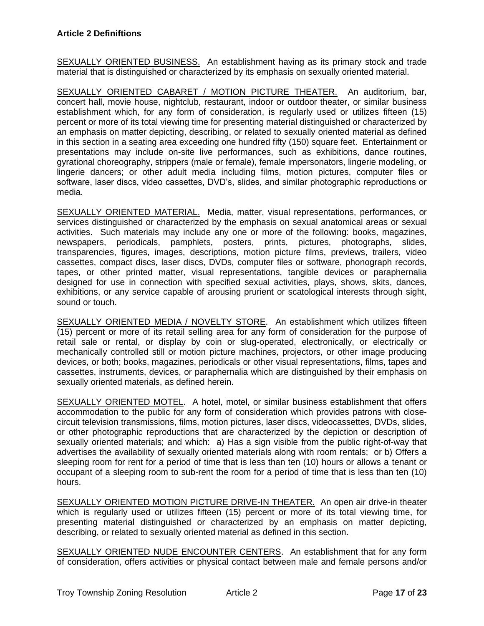SEXUALLY ORIENTED BUSINESS. An establishment having as its primary stock and trade material that is distinguished or characterized by its emphasis on sexually oriented material.

SEXUALLY ORIENTED CABARET / MOTION PICTURE THEATER. An auditorium, bar, concert hall, movie house, nightclub, restaurant, indoor or outdoor theater, or similar business establishment which, for any form of consideration, is regularly used or utilizes fifteen (15) percent or more of its total viewing time for presenting material distinguished or characterized by an emphasis on matter depicting, describing, or related to sexually oriented material as defined in this section in a seating area exceeding one hundred fifty (150) square feet. Entertainment or presentations may include on-site live performances, such as exhibitions, dance routines, gyrational choreography, strippers (male or female), female impersonators, lingerie modeling, or lingerie dancers; or other adult media including films, motion pictures, computer files or software, laser discs, video cassettes, DVD's, slides, and similar photographic reproductions or media.

SEXUALLY ORIENTED MATERIAL. Media, matter, visual representations, performances, or services distinguished or characterized by the emphasis on sexual anatomical areas or sexual activities. Such materials may include any one or more of the following: books, magazines, newspapers, periodicals, pamphlets, posters, prints, pictures, photographs, slides, transparencies, figures, images, descriptions, motion picture films, previews, trailers, video cassettes, compact discs, laser discs, DVDs, computer files or software, phonograph records, tapes, or other printed matter, visual representations, tangible devices or paraphernalia designed for use in connection with specified sexual activities, plays, shows, skits, dances, exhibitions, or any service capable of arousing prurient or scatological interests through sight, sound or touch.

SEXUALLY ORIENTED MEDIA / NOVELTY STORE. An establishment which utilizes fifteen (15) percent or more of its retail selling area for any form of consideration for the purpose of retail sale or rental, or display by coin or slug-operated, electronically, or electrically or mechanically controlled still or motion picture machines, projectors, or other image producing devices, or both; books, magazines, periodicals or other visual representations, films, tapes and cassettes, instruments, devices, or paraphernalia which are distinguished by their emphasis on sexually oriented materials, as defined herein.

SEXUALLY ORIENTED MOTEL. A hotel, motel, or similar business establishment that offers accommodation to the public for any form of consideration which provides patrons with closecircuit television transmissions, films, motion pictures, laser discs, videocassettes, DVDs, slides, or other photographic reproductions that are characterized by the depiction or description of sexually oriented materials; and which: a) Has a sign visible from the public right-of-way that advertises the availability of sexually oriented materials along with room rentals; or b) Offers a sleeping room for rent for a period of time that is less than ten (10) hours or allows a tenant or occupant of a sleeping room to sub-rent the room for a period of time that is less than ten (10) hours.

SEXUALLY ORIENTED MOTION PICTURE DRIVE-IN THEATER. An open air drive-in theater which is regularly used or utilizes fifteen (15) percent or more of its total viewing time, for presenting material distinguished or characterized by an emphasis on matter depicting, describing, or related to sexually oriented material as defined in this section.

SEXUALLY ORIENTED NUDE ENCOUNTER CENTERS. An establishment that for any form of consideration, offers activities or physical contact between male and female persons and/or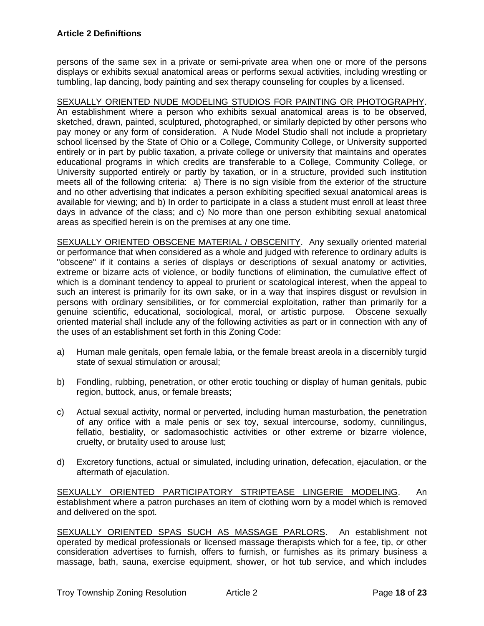persons of the same sex in a private or semi-private area when one or more of the persons displays or exhibits sexual anatomical areas or performs sexual activities, including wrestling or tumbling, lap dancing, body painting and sex therapy counseling for couples by a licensed.

SEXUALLY ORIENTED NUDE MODELING STUDIOS FOR PAINTING OR PHOTOGRAPHY. An establishment where a person who exhibits sexual anatomical areas is to be observed, sketched, drawn, painted, sculptured, photographed, or similarly depicted by other persons who pay money or any form of consideration. A Nude Model Studio shall not include a proprietary school licensed by the State of Ohio or a College, Community College, or University supported entirely or in part by public taxation, a private college or university that maintains and operates educational programs in which credits are transferable to a College, Community College, or University supported entirely or partly by taxation, or in a structure, provided such institution meets all of the following criteria: a) There is no sign visible from the exterior of the structure and no other advertising that indicates a person exhibiting specified sexual anatomical areas is available for viewing; and b) In order to participate in a class a student must enroll at least three days in advance of the class; and c) No more than one person exhibiting sexual anatomical areas as specified herein is on the premises at any one time.

SEXUALLY ORIENTED OBSCENE MATERIAL / OBSCENITY. Any sexually oriented material or performance that when considered as a whole and judged with reference to ordinary adults is "obscene" if it contains a series of displays or descriptions of sexual anatomy or activities, extreme or bizarre acts of violence, or bodily functions of elimination, the cumulative effect of which is a dominant tendency to appeal to prurient or scatological interest, when the appeal to such an interest is primarily for its own sake, or in a way that inspires disgust or revulsion in persons with ordinary sensibilities, or for commercial exploitation, rather than primarily for a genuine scientific, educational, sociological, moral, or artistic purpose. Obscene sexually oriented material shall include any of the following activities as part or in connection with any of the uses of an establishment set forth in this Zoning Code:

- a) Human male genitals, open female labia, or the female breast areola in a discernibly turgid state of sexual stimulation or arousal;
- b) Fondling, rubbing, penetration, or other erotic touching or display of human genitals, pubic region, buttock, anus, or female breasts;
- c) Actual sexual activity, normal or perverted, including human masturbation, the penetration of any orifice with a male penis or sex toy, sexual intercourse, sodomy, cunnilingus, fellatio, bestiality, or sadomasochistic activities or other extreme or bizarre violence, cruelty, or brutality used to arouse lust;
- d) Excretory functions, actual or simulated, including urination, defecation, ejaculation, or the aftermath of ejaculation.

SEXUALLY ORIENTED PARTICIPATORY STRIPTEASE LINGERIE MODELING. An establishment where a patron purchases an item of clothing worn by a model which is removed and delivered on the spot.

SEXUALLY ORIENTED SPAS SUCH AS MASSAGE PARLORS. An establishment not operated by medical professionals or licensed massage therapists which for a fee, tip, or other consideration advertises to furnish, offers to furnish, or furnishes as its primary business a massage, bath, sauna, exercise equipment, shower, or hot tub service, and which includes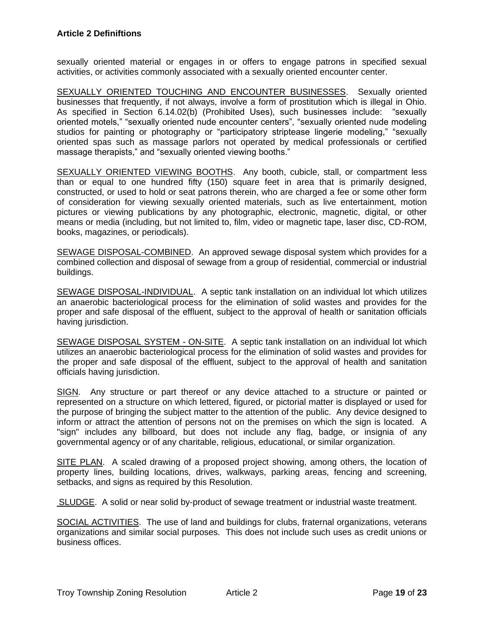sexually oriented material or engages in or offers to engage patrons in specified sexual activities, or activities commonly associated with a sexually oriented encounter center.

SEXUALLY ORIENTED TOUCHING AND ENCOUNTER BUSINESSES. Sexually oriented businesses that frequently, if not always, involve a form of prostitution which is illegal in Ohio. As specified in Section 6.14.02(b) (Prohibited Uses), such businesses include: "sexually oriented motels," "sexually oriented nude encounter centers", "sexually oriented nude modeling studios for painting or photography or "participatory striptease lingerie modeling," "sexually oriented spas such as massage parlors not operated by medical professionals or certified massage therapists," and "sexually oriented viewing booths."

SEXUALLY ORIENTED VIEWING BOOTHS. Any booth, cubicle, stall, or compartment less than or equal to one hundred fifty (150) square feet in area that is primarily designed, constructed, or used to hold or seat patrons therein, who are charged a fee or some other form of consideration for viewing sexually oriented materials, such as live entertainment, motion pictures or viewing publications by any photographic, electronic, magnetic, digital, or other means or media (including, but not limited to, film, video or magnetic tape, laser disc, CD-ROM, books, magazines, or periodicals).

SEWAGE DISPOSAL-COMBINED. An approved sewage disposal system which provides for a combined collection and disposal of sewage from a group of residential, commercial or industrial buildings.

SEWAGE DISPOSAL-INDIVIDUAL. A septic tank installation on an individual lot which utilizes an anaerobic bacteriological process for the elimination of solid wastes and provides for the proper and safe disposal of the effluent, subject to the approval of health or sanitation officials having jurisdiction.

SEWAGE DISPOSAL SYSTEM - ON-SITE. A septic tank installation on an individual lot which utilizes an anaerobic bacteriological process for the elimination of solid wastes and provides for the proper and safe disposal of the effluent, subject to the approval of health and sanitation officials having jurisdiction.

SIGN. Any structure or part thereof or any device attached to a structure or painted or represented on a structure on which lettered, figured, or pictorial matter is displayed or used for the purpose of bringing the subject matter to the attention of the public. Any device designed to inform or attract the attention of persons not on the premises on which the sign is located. A "sign" includes any billboard, but does not include any flag, badge, or insignia of any governmental agency or of any charitable, religious, educational, or similar organization.

SITE PLAN. A scaled drawing of a proposed project showing, among others, the location of property lines, building locations, drives, walkways, parking areas, fencing and screening, setbacks, and signs as required by this Resolution.

SLUDGE. A solid or near solid by-product of sewage treatment or industrial waste treatment.

SOCIAL ACTIVITIES. The use of land and buildings for clubs, fraternal organizations, veterans organizations and similar social purposes. This does not include such uses as credit unions or business offices.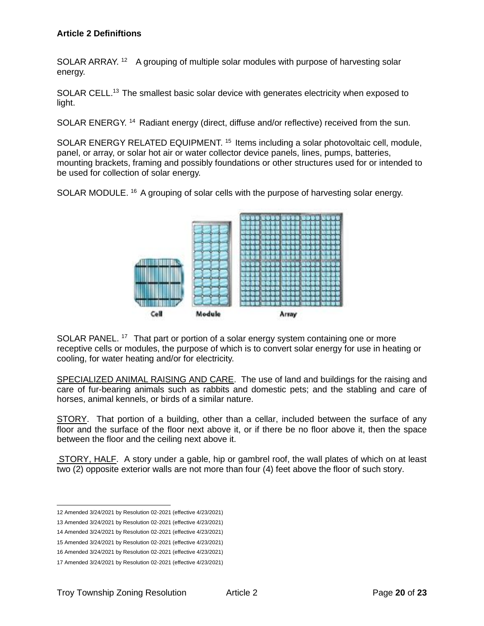SOLAR ARRAY.<sup>12</sup> A grouping of multiple solar modules with purpose of harvesting solar energy.

SOLAR CELL.<sup>13</sup> The smallest basic solar device with generates electricity when exposed to light.

SOLAR ENERGY. <sup>14</sup> Radiant energy (direct, diffuse and/or reflective) received from the sun.

SOLAR ENERGY RELATED EQUIPMENT. <sup>15</sup> Items including a solar photovoltaic cell, module, panel, or array, or solar hot air or water collector device panels, lines, pumps, batteries, mounting brackets, framing and possibly foundations or other structures used for or intended to be used for collection of solar energy.

SOLAR MODULE. <sup>16</sup> A grouping of solar cells with the purpose of harvesting solar energy.



SOLAR PANEL.<sup>17</sup> That part or portion of a solar energy system containing one or more receptive cells or modules, the purpose of which is to convert solar energy for use in heating or cooling, for water heating and/or for electricity.

SPECIALIZED ANIMAL RAISING AND CARE. The use of land and buildings for the raising and care of fur-bearing animals such as rabbits and domestic pets; and the stabling and care of horses, animal kennels, or birds of a similar nature.

STORY. That portion of a building, other than a cellar, included between the surface of any floor and the surface of the floor next above it, or if there be no floor above it, then the space between the floor and the ceiling next above it.

STORY, HALF. A story under a gable, hip or gambrel roof, the wall plates of which on at least two (2) opposite exterior walls are not more than four (4) feet above the floor of such story.

<sup>12</sup> Amended 3/24/2021 by Resolution 02-2021 (effective 4/23/2021)

<sup>13</sup> Amended 3/24/2021 by Resolution 02-2021 (effective 4/23/2021)

<sup>14</sup> Amended 3/24/2021 by Resolution 02-2021 (effective 4/23/2021)

<sup>15</sup> Amended 3/24/2021 by Resolution 02-2021 (effective 4/23/2021)

<sup>16</sup> Amended 3/24/2021 by Resolution 02-2021 (effective 4/23/2021)

<sup>17</sup> Amended 3/24/2021 by Resolution 02-2021 (effective 4/23/2021)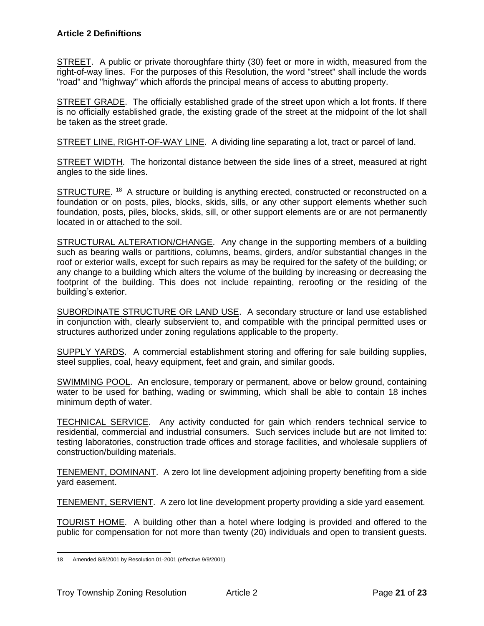STREET. A public or private thoroughfare thirty (30) feet or more in width, measured from the right-of-way lines. For the purposes of this Resolution, the word "street" shall include the words "road" and "highway" which affords the principal means of access to abutting property.

STREET GRADE. The officially established grade of the street upon which a lot fronts. If there is no officially established grade, the existing grade of the street at the midpoint of the lot shall be taken as the street grade.

STREET LINE, RIGHT-OF-WAY LINE. A dividing line separating a lot, tract or parcel of land.

STREET WIDTH. The horizontal distance between the side lines of a street, measured at right angles to the side lines.

STRUCTURE.<sup>18</sup> A structure or building is anything erected, constructed or reconstructed on a foundation or on posts, piles, blocks, skids, sills, or any other support elements whether such foundation, posts, piles, blocks, skids, sill, or other support elements are or are not permanently located in or attached to the soil.

STRUCTURAL ALTERATION/CHANGE. Any change in the supporting members of a building such as bearing walls or partitions, columns, beams, girders, and/or substantial changes in the roof or exterior walls, except for such repairs as may be required for the safety of the building; or any change to a building which alters the volume of the building by increasing or decreasing the footprint of the building. This does not include repainting, reroofing or the residing of the building's exterior.

SUBORDINATE STRUCTURE OR LAND USE. A secondary structure or land use established in conjunction with, clearly subservient to, and compatible with the principal permitted uses or structures authorized under zoning regulations applicable to the property.

SUPPLY YARDS. A commercial establishment storing and offering for sale building supplies, steel supplies, coal, heavy equipment, feet and grain, and similar goods.

SWIMMING POOL. An enclosure, temporary or permanent, above or below ground, containing water to be used for bathing, wading or swimming, which shall be able to contain 18 inches minimum depth of water.

TECHNICAL SERVICE. Any activity conducted for gain which renders technical service to residential, commercial and industrial consumers. Such services include but are not limited to: testing laboratories, construction trade offices and storage facilities, and wholesale suppliers of construction/building materials.

TENEMENT, DOMINANT. A zero lot line development adjoining property benefiting from a side yard easement.

TENEMENT, SERVIENT. A zero lot line development property providing a side yard easement.

TOURIST HOME. A building other than a hotel where lodging is provided and offered to the public for compensation for not more than twenty (20) individuals and open to transient guests.

<sup>18</sup> Amended 8/8/2001 by Resolution 01-2001 (effective 9/9/2001)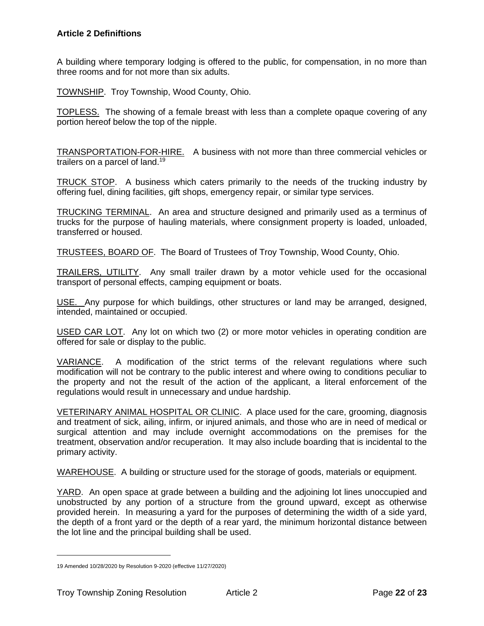A building where temporary lodging is offered to the public, for compensation, in no more than three rooms and for not more than six adults.

TOWNSHIP. Troy Township, Wood County, Ohio.

TOPLESS. The showing of a female breast with less than a complete opaque covering of any portion hereof below the top of the nipple.

TRANSPORTATION-FOR-HIRE. A business with not more than three commercial vehicles or trailers on a parcel of land.<sup>19</sup>

TRUCK STOP. A business which caters primarily to the needs of the trucking industry by offering fuel, dining facilities, gift shops, emergency repair, or similar type services.

TRUCKING TERMINAL. An area and structure designed and primarily used as a terminus of trucks for the purpose of hauling materials, where consignment property is loaded, unloaded, transferred or housed.

TRUSTEES, BOARD OF. The Board of Trustees of Troy Township, Wood County, Ohio.

TRAILERS, UTILITY. Any small trailer drawn by a motor vehicle used for the occasional transport of personal effects, camping equipment or boats.

USE. Any purpose for which buildings, other structures or land may be arranged, designed, intended, maintained or occupied.

USED CAR LOT. Any lot on which two (2) or more motor vehicles in operating condition are offered for sale or display to the public.

VARIANCE. A modification of the strict terms of the relevant regulations where such modification will not be contrary to the public interest and where owing to conditions peculiar to the property and not the result of the action of the applicant, a literal enforcement of the regulations would result in unnecessary and undue hardship.

VETERINARY ANIMAL HOSPITAL OR CLINIC. A place used for the care, grooming, diagnosis and treatment of sick, ailing, infirm, or injured animals, and those who are in need of medical or surgical attention and may include overnight accommodations on the premises for the treatment, observation and/or recuperation. It may also include boarding that is incidental to the primary activity.

WAREHOUSE. A building or structure used for the storage of goods, materials or equipment.

YARD. An open space at grade between a building and the adjoining lot lines unoccupied and unobstructed by any portion of a structure from the ground upward, except as otherwise provided herein. In measuring a yard for the purposes of determining the width of a side yard, the depth of a front yard or the depth of a rear yard, the minimum horizontal distance between the lot line and the principal building shall be used.

<sup>19</sup> Amended 10/28/2020 by Resolution 9-2020 (effective 11/27/2020)